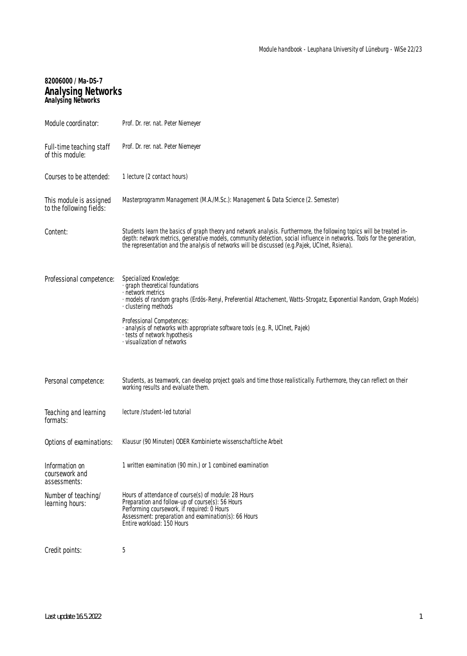# **82006000 / Ma-DS-7 Analysing Networks Analysing Networks**

| Module coordinator:                                 | Prof. Dr. rer. nat. Peter Niemeyer                                                                                                                                                                                                                                                                                                                 |
|-----------------------------------------------------|----------------------------------------------------------------------------------------------------------------------------------------------------------------------------------------------------------------------------------------------------------------------------------------------------------------------------------------------------|
| Full-time teaching staff<br>of this module:         | Prof. Dr. rer. nat. Peter Niemeyer                                                                                                                                                                                                                                                                                                                 |
| Courses to be attended:                             | 1 lecture (2 contact hours)                                                                                                                                                                                                                                                                                                                        |
| This module is assigned<br>to the following fields: | Masterprogramm Management (M.A./M.Sc.): Management & Data Science (2. Semester)                                                                                                                                                                                                                                                                    |
| Content:                                            | Students learn the basics of graph theory and network analysis. Furthermore, the following topics will be treated in-<br>depth: network metrics, generative models, community detection, social influence in networks. Tools for the generation,<br>the representation and the analysis of networks will be discussed (e.g.Pajek, UCInet, Rsiena). |
| Professional competence:                            | Specialized Knowledge:<br>· graph theoretical foundations<br>· network metrics<br>· models of random graphs (Erdös-Renyi, Preferential Attachement, Watts-Strogatz, Exponential Random, Graph Models)<br>· clustering methods                                                                                                                      |
|                                                     | Professional Competences:<br>· analysis of networks with appropriate software tools (e.g. R, UCInet, Pajek)<br>· tests of network hypothesis<br>⋅ visualization of networks                                                                                                                                                                        |
| Personal competence:                                | Students, as teamwork, can develop project goals and time those realistically. Furthermore, they can reflect on their<br>working results and evaluate them.                                                                                                                                                                                        |
| Teaching and learning<br>formats:                   | lecture /student-led tutorial                                                                                                                                                                                                                                                                                                                      |
| Options of examinations:                            | Klausur (90 Minuten) ODER Kombinierte wissenschaftliche Arbeit                                                                                                                                                                                                                                                                                     |
| Information on<br>coursework and<br>assessments:    | 1 written examination (90 min.) or 1 combined examination                                                                                                                                                                                                                                                                                          |
| Number of teaching/<br>learning hours:              | Hours of attendance of course(s) of module: 28 Hours<br>Preparation and follow-up of course(s): 56 Hours<br>Performing coursework, if required: 0 Hours<br>Assessment: preparation and examination(s): 66 Hours<br>Entire workload: 150 Hours                                                                                                      |
| Credit points:                                      | 5                                                                                                                                                                                                                                                                                                                                                  |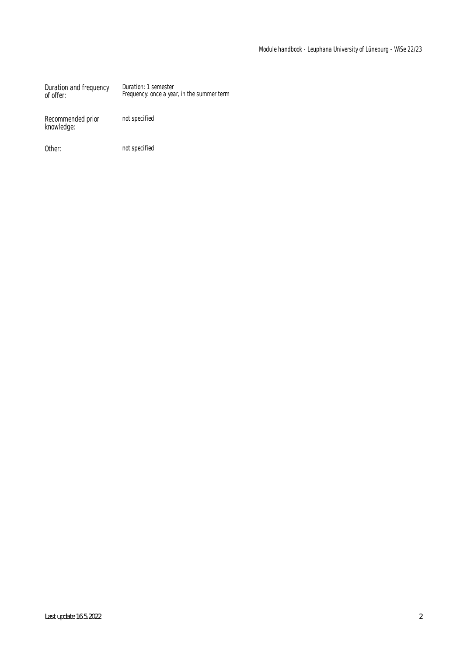Duration and frequency of offer: Duration: 1 semester Frequency: once a year, in the summer term

Recommended prior knowledge:

not specified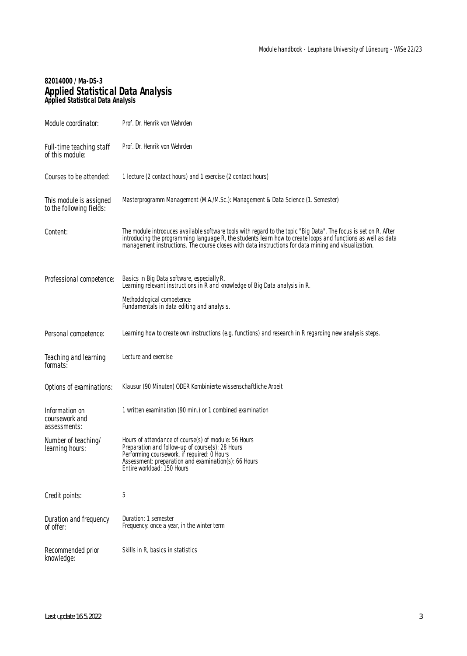### **82014000 / Ma-DS-3 Applied Statistical Data Analysis Applied Statistical Data Analysis**

| Module coordinator:                                 | Prof. Dr. Henrik von Wehrden                                                                                                                                                                                                                                                                                                             |
|-----------------------------------------------------|------------------------------------------------------------------------------------------------------------------------------------------------------------------------------------------------------------------------------------------------------------------------------------------------------------------------------------------|
| Full-time teaching staff<br>of this module:         | Prof. Dr. Henrik von Wehrden                                                                                                                                                                                                                                                                                                             |
| Courses to be attended:                             | 1 lecture (2 contact hours) and 1 exercise (2 contact hours)                                                                                                                                                                                                                                                                             |
| This module is assigned<br>to the following fields: | Masterprogramm Management (M.A./M.Sc.): Management & Data Science (1. Semester)                                                                                                                                                                                                                                                          |
| Content:                                            | The module introduces available software tools with regard to the topic "Big Data". The focus is set on R. After<br>introducing the programming language R, the students learn how to create loops and functions as well as data<br>management instructions. The course closes with data instructions for data mining and visualization. |
| Professional competence:                            | Basics in Big Data software, especially R.<br>Learning relevant instructions in R and knowledge of Big Data analysis in R.                                                                                                                                                                                                               |
|                                                     | Methodological competence<br>Fundamentals in data editing and analysis.                                                                                                                                                                                                                                                                  |
| Personal competence:                                | Learning how to create own instructions (e.g. functions) and research in R regarding new analysis steps.                                                                                                                                                                                                                                 |
| Teaching and learning<br>formats:                   | Lecture and exercise                                                                                                                                                                                                                                                                                                                     |
| Options of examinations:                            | Klausur (90 Minuten) ODER Kombinierte wissenschaftliche Arbeit                                                                                                                                                                                                                                                                           |
| Information on<br>coursework and<br>assessments:    | 1 written examination (90 min.) or 1 combined examination                                                                                                                                                                                                                                                                                |
| Number of teaching/<br>learning hours:              | Hours of attendance of course(s) of module: 56 Hours<br>Preparation and follow-up of course(s): 28 Hours<br>Performing coursework, if required: 0 Hours<br>Assessment: preparation and examination(s): 66 Hours<br>Entire workload: 150 Hours                                                                                            |
| Credit points:                                      | 5                                                                                                                                                                                                                                                                                                                                        |
| Duration and frequency<br>of offer:                 | Duration: 1 semester<br>Frequency: once a year, in the winter term                                                                                                                                                                                                                                                                       |
| Recommended prior<br>knowledge:                     | Skills in R, basics in statistics                                                                                                                                                                                                                                                                                                        |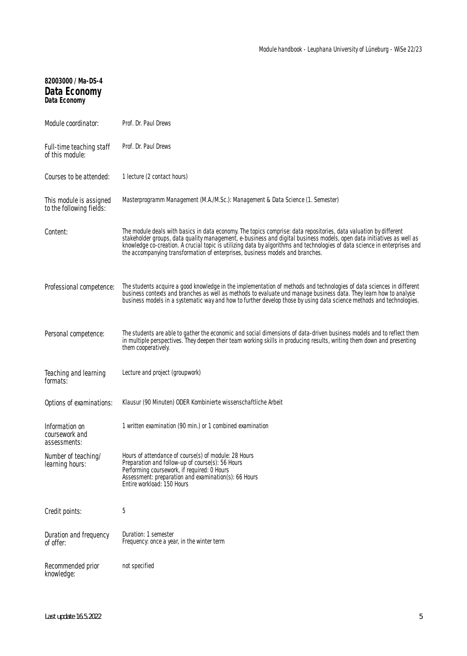| 82003000 / Ma-DS-4<br>Data Economy<br><b>Data Economy</b> |                                                                                                                                                                                                                                                                                                                                                                                                                                                           |
|-----------------------------------------------------------|-----------------------------------------------------------------------------------------------------------------------------------------------------------------------------------------------------------------------------------------------------------------------------------------------------------------------------------------------------------------------------------------------------------------------------------------------------------|
| Module coordinator:                                       | Prof. Dr. Paul Drews                                                                                                                                                                                                                                                                                                                                                                                                                                      |
| Full-time teaching staff<br>of this module:               | Prof. Dr. Paul Drews                                                                                                                                                                                                                                                                                                                                                                                                                                      |
| Courses to be attended:                                   | 1 lecture (2 contact hours)                                                                                                                                                                                                                                                                                                                                                                                                                               |
| This module is assigned<br>to the following fields:       | Masterprogramm Management (M.A./M.Sc.): Management & Data Science (1. Semester)                                                                                                                                                                                                                                                                                                                                                                           |
| Content:                                                  | The module deals with basics in data economy. The topics comprise: data repositories, data valuation by different<br>stakeholder groups, data quality management, e-business and digital business models, open data initiatives as well as<br>knowledge co-creation. A crucial topic is utilizing data by algorithms and technologies of data science in enterprises and<br>the accompanying transformation of enterprises, business models and branches. |
| Professional competence:                                  | The students acquire a good knowledge in the implementation of methods and technologies of data sciences in different<br>business contexts and branches as well as methods to evaluate und manage business data. They learn how to analyse<br>business models in a systematic way and how to further develop those by using data science methods and technologies.                                                                                        |
| Personal competence:                                      | The students are able to gather the economic and social dimensions of data-driven business models and to reflect them<br>in multiple perspectives. They deepen their team working skills in producing results, writing them down and presenting<br>them cooperatively.                                                                                                                                                                                    |
| Teaching and learning<br>formats:                         | Lecture and project (groupwork)                                                                                                                                                                                                                                                                                                                                                                                                                           |
| Options of examinations:                                  | Klausur (90 Minuten) ODER Kombinierte wissenschaftliche Arbeit                                                                                                                                                                                                                                                                                                                                                                                            |
| Information on<br>coursework and<br>assessments:          | 1 written examination (90 min.) or 1 combined examination                                                                                                                                                                                                                                                                                                                                                                                                 |
| Number of teaching/<br>learning hours:                    | Hours of attendance of course(s) of module: 28 Hours<br>Preparation and follow-up of course(s): 56 Hours<br>Performing coursework, if required: 0 Hours<br>Assessment: preparation and examination(s): 66 Hours<br>Entire workload: 150 Hours                                                                                                                                                                                                             |
| Credit points:                                            | 5                                                                                                                                                                                                                                                                                                                                                                                                                                                         |
| Duration and frequency<br>of offer:                       | Duration: 1 semester<br>Frequency: once a year, in the winter term                                                                                                                                                                                                                                                                                                                                                                                        |
| Recommended prior<br>knowledge:                           | not specified                                                                                                                                                                                                                                                                                                                                                                                                                                             |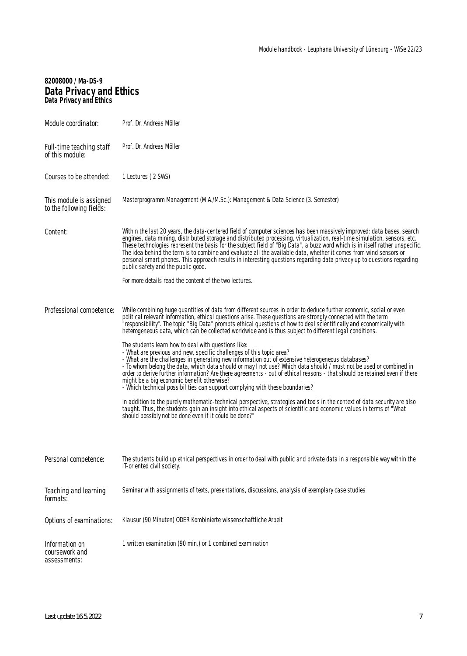# **82008000 / Ma-DS-9 Data Privacy and Ethics Data Privacy and Ethics**

| Module coordinator:                                 | Prof. Dr. Andreas Möller                                                                                                                                                                                                                                                                                                                                                                                                                                                                                                                                                                                                                                                                                                                                                                                                                                                                                                                                                                                                                                                                                                                                                                                                                                                                                                                                                                                   |
|-----------------------------------------------------|------------------------------------------------------------------------------------------------------------------------------------------------------------------------------------------------------------------------------------------------------------------------------------------------------------------------------------------------------------------------------------------------------------------------------------------------------------------------------------------------------------------------------------------------------------------------------------------------------------------------------------------------------------------------------------------------------------------------------------------------------------------------------------------------------------------------------------------------------------------------------------------------------------------------------------------------------------------------------------------------------------------------------------------------------------------------------------------------------------------------------------------------------------------------------------------------------------------------------------------------------------------------------------------------------------------------------------------------------------------------------------------------------------|
| Full-time teaching staff<br>of this module:         | Prof. Dr. Andreas Möller                                                                                                                                                                                                                                                                                                                                                                                                                                                                                                                                                                                                                                                                                                                                                                                                                                                                                                                                                                                                                                                                                                                                                                                                                                                                                                                                                                                   |
| Courses to be attended:                             | 1 Lectures (2 SWS)                                                                                                                                                                                                                                                                                                                                                                                                                                                                                                                                                                                                                                                                                                                                                                                                                                                                                                                                                                                                                                                                                                                                                                                                                                                                                                                                                                                         |
| This module is assigned<br>to the following fields: | Masterprogramm Management (M.A./M.Sc.): Management & Data Science (3. Semester)                                                                                                                                                                                                                                                                                                                                                                                                                                                                                                                                                                                                                                                                                                                                                                                                                                                                                                                                                                                                                                                                                                                                                                                                                                                                                                                            |
| Content:                                            | Within the last 20 years, the data-centered field of computer sciences has been massively improved: data bases, search<br>engines, data mining, distributed storage and distributed processing, virtualization, real-time simulation, sensors, etc.<br>These technologies represent the basis for the subject field of "Big Data", a buzz word which is in itself rather unspecific.<br>The idea behind the term is to combine and evaluate all the available data, whether it comes from wind sensors or<br>personal smart phones. This approach results in interesting questions regarding data privacy up to questions regarding<br>public safety and the public good.                                                                                                                                                                                                                                                                                                                                                                                                                                                                                                                                                                                                                                                                                                                                  |
|                                                     | For more details read the content of the two lectures.                                                                                                                                                                                                                                                                                                                                                                                                                                                                                                                                                                                                                                                                                                                                                                                                                                                                                                                                                                                                                                                                                                                                                                                                                                                                                                                                                     |
| Professional competence:                            | While combining huge quantities of data from different sources in order to deduce further economic, social or even<br>political relevant information, ethical questions arise. These questions are strongly connected with the term<br>"responsibility". The topic "Big Data" prompts ethical questions of how to deal scientifically and economically with<br>heterogeneous data, which can be collected worldwide and is thus subject to different legal conditions.<br>The students learn how to deal with questions like:<br>- What are previous and new, specific challenges of this topic area?<br>- What are the challenges in generating new information out of extensive heterogeneous databases?<br>- To whom belong the data, which data should or may I not use? Which data should / must not be used or combined in<br>order to derive further information? Are there agreements - out of ethical reasons - that should be retained even if there<br>might be a big economic benefit otherwise?<br>- Which technical possibilities can support complying with these boundaries?<br>In addition to the purely mathematic-technical perspective, strategies and tools in the context of data security are also<br>taught. Thus, the students gain an insight into ethical aspects of scientific and economic values in terms of "What<br>should possibly not be done even if it could be done?" |
| Personal competence:                                | The students build up ethical perspectives in order to deal with public and private data in a responsible way within the<br>IT-oriented civil society.                                                                                                                                                                                                                                                                                                                                                                                                                                                                                                                                                                                                                                                                                                                                                                                                                                                                                                                                                                                                                                                                                                                                                                                                                                                     |
| Teaching and learning<br>formats:                   | Seminar with assignments of texts, presentations, discussions, analysis of exemplary case studies                                                                                                                                                                                                                                                                                                                                                                                                                                                                                                                                                                                                                                                                                                                                                                                                                                                                                                                                                                                                                                                                                                                                                                                                                                                                                                          |
| Options of examinations:                            | Klausur (90 Minuten) ODER Kombinierte wissenschaftliche Arbeit                                                                                                                                                                                                                                                                                                                                                                                                                                                                                                                                                                                                                                                                                                                                                                                                                                                                                                                                                                                                                                                                                                                                                                                                                                                                                                                                             |
| Information on<br>coursework and<br>assessments:    | 1 written examination (90 min.) or 1 combined examination                                                                                                                                                                                                                                                                                                                                                                                                                                                                                                                                                                                                                                                                                                                                                                                                                                                                                                                                                                                                                                                                                                                                                                                                                                                                                                                                                  |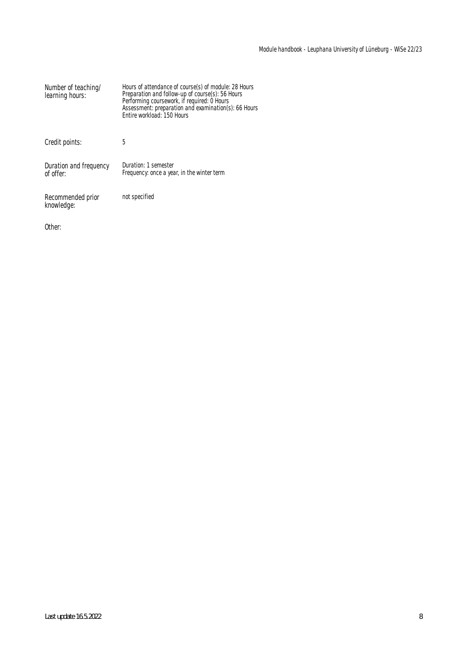| Number of teaching/<br>learning hours: | Hours of attendance of course(s) of module: 28 Hours<br>Preparation and follow-up of course(s): 56 Hours<br>Performing coursework, if required: 0 Hours<br>Assessment: preparation and examination(s): 66 Hours<br>Entire workload: 150 Hours |
|----------------------------------------|-----------------------------------------------------------------------------------------------------------------------------------------------------------------------------------------------------------------------------------------------|
| Credit points:                         | 5                                                                                                                                                                                                                                             |
| Duration and frequency<br>of offer:    | Duration: 1 semester<br>Frequency: once a year, in the winter term                                                                                                                                                                            |
| Recommended prior<br>knowledge:        | not specified                                                                                                                                                                                                                                 |

Other: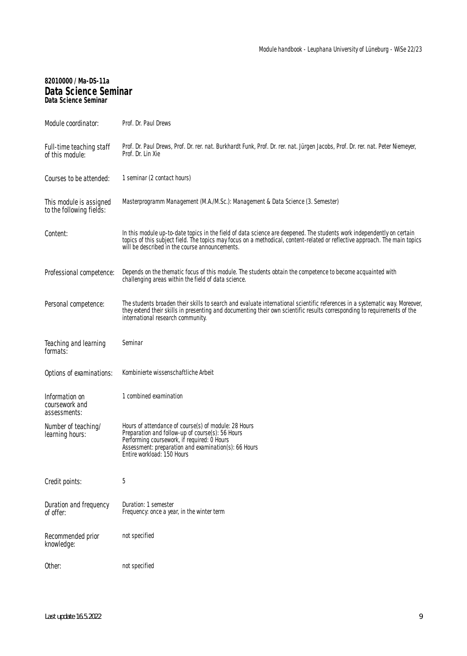### **82010000 / Ma-DS-11a Data Science Seminar Data Science Seminar**

| Module coordinator:                                 | Prof. Dr. Paul Drews                                                                                                                                                                                                                                                                                    |
|-----------------------------------------------------|---------------------------------------------------------------------------------------------------------------------------------------------------------------------------------------------------------------------------------------------------------------------------------------------------------|
| Full-time teaching staff<br>of this module:         | Prof. Dr. Paul Drews, Prof. Dr. rer. nat. Burkhardt Funk, Prof. Dr. rer. nat. Jürgen Jacobs, Prof. Dr. rer. nat. Peter Niemeyer,<br>Prof. Dr. Lin Xie                                                                                                                                                   |
| Courses to be attended:                             | 1 seminar (2 contact hours)                                                                                                                                                                                                                                                                             |
| This module is assigned<br>to the following fields: | Masterprogramm Management (M.A./M.Sc.): Management & Data Science (3. Semester)                                                                                                                                                                                                                         |
| Content:                                            | In this module up-to-date topics in the field of data science are deepened. The students work independently on certain<br>topics of this subject field. The topics may focus on a methodical, content-related or reflective approach. The main topics<br>will be described in the course announcements. |
| Professional competence:                            | Depends on the thematic focus of this module. The students obtain the competence to become acquainted with<br>challenging areas within the field of data science.                                                                                                                                       |
| Personal competence:                                | The students broaden their skills to search and evaluate international scientific references in a systematic way. Moreover,<br>they extend their skills in presenting and documenting their own scientific results corresponding to requirements of the<br>international research community.            |
| Teaching and learning<br>formats:                   | Seminar                                                                                                                                                                                                                                                                                                 |
| Options of examinations:                            | Kombinierte wissenschaftliche Arbeit                                                                                                                                                                                                                                                                    |
| Information on<br>coursework and<br>assessments:    | 1 combined examination                                                                                                                                                                                                                                                                                  |
| Number of teaching/<br>learning hours:              | Hours of attendance of course(s) of module: 28 Hours<br>Preparation and follow-up of course(s): 56 Hours<br>Performing coursework, if required: 0 Hours<br>Assessment: preparation and examination(s): 66 Hours<br>Entire workload: 150 Hours                                                           |
| Credit points:                                      | 5                                                                                                                                                                                                                                                                                                       |
| Duration and frequency<br>of offer:                 | Duration: 1 semester<br>Frequency: once a year, in the winter term                                                                                                                                                                                                                                      |
| Recommended prior<br>knowledge:                     | not specified                                                                                                                                                                                                                                                                                           |
| Other:                                              | not specified                                                                                                                                                                                                                                                                                           |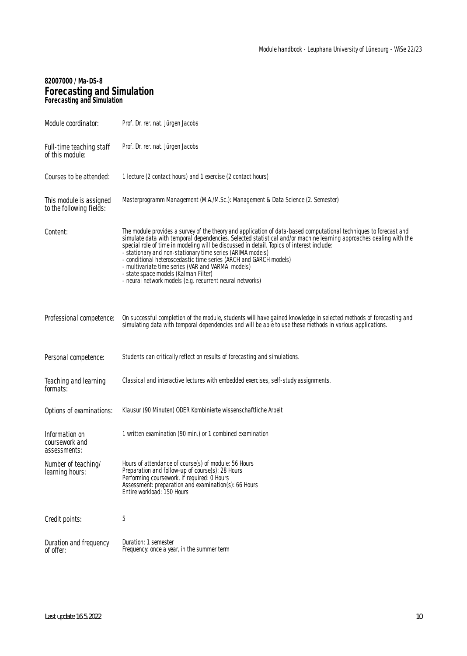### **82007000 / Ma-DS-8 Forecasting and Simulation Forecasting and Simulation**

| Module coordinator:                                 | Prof. Dr. rer. nat. Jürgen Jacobs                                                                                                                                                                                                                                                                                                                                                                                                                                                                                                                                                                                                |
|-----------------------------------------------------|----------------------------------------------------------------------------------------------------------------------------------------------------------------------------------------------------------------------------------------------------------------------------------------------------------------------------------------------------------------------------------------------------------------------------------------------------------------------------------------------------------------------------------------------------------------------------------------------------------------------------------|
| Full-time teaching staff<br>of this module:         | Prof. Dr. rer. nat. Jürgen Jacobs                                                                                                                                                                                                                                                                                                                                                                                                                                                                                                                                                                                                |
| Courses to be attended:                             | 1 lecture (2 contact hours) and 1 exercise (2 contact hours)                                                                                                                                                                                                                                                                                                                                                                                                                                                                                                                                                                     |
| This module is assigned<br>to the following fields: | Masterprogramm Management (M.A./M.Sc.): Management & Data Science (2. Semester)                                                                                                                                                                                                                                                                                                                                                                                                                                                                                                                                                  |
| Content:                                            | The module provides a survey of the theory and application of data-based computational techniques to forecast and<br>simulate data with temporal dependencies. Selected statistical and/or machine learning approaches dealing with the<br>special role of time in modeling will be discussed in detail. Topics of interest include:<br>- stationary and non-stationary time series (ARIMA models)<br>- conditional heteroscedastic time series (ARCH and GARCH models)<br>- multivariate time series (VAR and VARMA models)<br>- state space models (Kalman Filter)<br>- neural network models (e.g. recurrent neural networks) |
| Professional competence:                            | On successful completion of the module, students will have gained knowledge in selected methods of forecasting and<br>simulating data with temporal dependencies and will be able to use these methods in various applications.                                                                                                                                                                                                                                                                                                                                                                                                  |
| Personal competence:                                | Students can critically reflect on results of forecasting and simulations.                                                                                                                                                                                                                                                                                                                                                                                                                                                                                                                                                       |
| Teaching and learning<br>formats:                   | Classical and interactive lectures with embedded exercises, self-study assignments.                                                                                                                                                                                                                                                                                                                                                                                                                                                                                                                                              |
| Options of examinations:                            | Klausur (90 Minuten) ODER Kombinierte wissenschaftliche Arbeit                                                                                                                                                                                                                                                                                                                                                                                                                                                                                                                                                                   |
| Information on<br>coursework and<br>assessments:    | 1 written examination (90 min.) or 1 combined examination                                                                                                                                                                                                                                                                                                                                                                                                                                                                                                                                                                        |
| Number of teaching/<br>learning hours:              | Hours of attendance of course(s) of module: 56 Hours<br>Preparation and follow-up of course(s): 28 Hours<br>Performing coursework, if required: 0 Hours<br>Assessment: preparation and examination(s): 66 Hours<br>Entire workload: 150 Hours                                                                                                                                                                                                                                                                                                                                                                                    |
| Credit points:                                      | 5                                                                                                                                                                                                                                                                                                                                                                                                                                                                                                                                                                                                                                |
| Duration and frequency<br>of offer:                 | Duration: 1 semester<br>Frequency: once a year, in the summer term                                                                                                                                                                                                                                                                                                                                                                                                                                                                                                                                                               |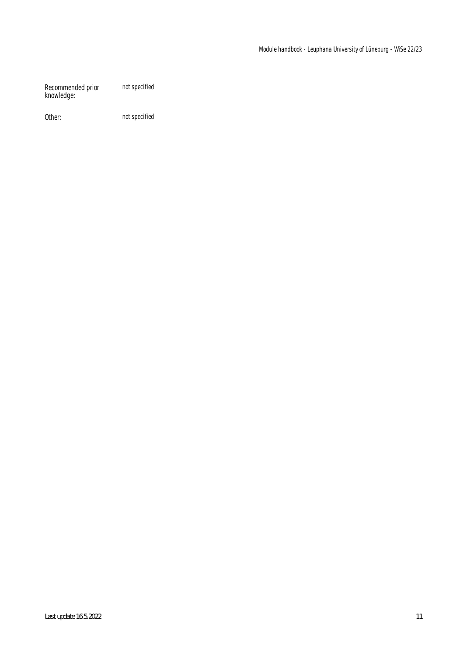Recommended prior knowledge: not specified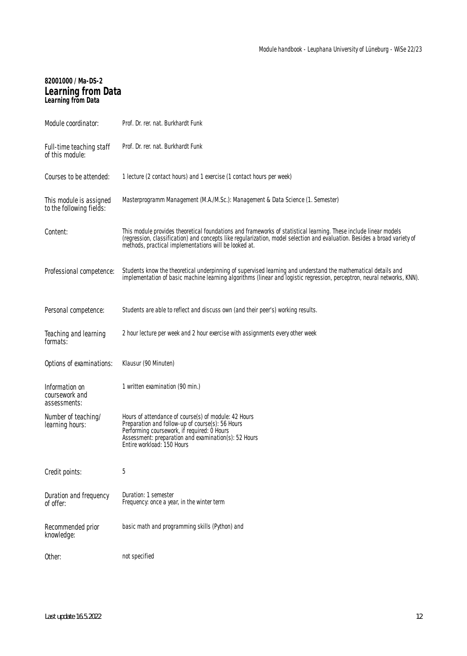# **82001000 / Ma-DS-2 Learning from Data Learning from Data**

| Module coordinator:                                 | Prof. Dr. rer. nat. Burkhardt Funk                                                                                                                                                                                                                                                                     |
|-----------------------------------------------------|--------------------------------------------------------------------------------------------------------------------------------------------------------------------------------------------------------------------------------------------------------------------------------------------------------|
| Full-time teaching staff<br>of this module:         | Prof. Dr. rer. nat. Burkhardt Funk                                                                                                                                                                                                                                                                     |
| Courses to be attended:                             | 1 lecture (2 contact hours) and 1 exercise (1 contact hours per week)                                                                                                                                                                                                                                  |
| This module is assigned<br>to the following fields: | Masterprogramm Management (M.A./M.Sc.): Management & Data Science (1. Semester)                                                                                                                                                                                                                        |
| Content:                                            | This module provides theoretical foundations and frameworks of statistical learning. These include linear models<br>(regression, classification) and concepts like regularization, model selection and evaluation. Besides a broad variety of<br>methods, practical implementations will be looked at. |
| Professional competence:                            | Students know the theoretical underpinning of supervised learning and understand the mathematical details and<br>implementation of basic machine learning algorithms (linear and logistic regression, perceptron, neural networks, KNN).                                                               |
| Personal competence:                                | Students are able to reflect and discuss own (and their peer's) working results.                                                                                                                                                                                                                       |
| Teaching and learning<br>formats:                   | 2 hour lecture per week and 2 hour exercise with assignments every other week                                                                                                                                                                                                                          |
| Options of examinations:                            | Klausur (90 Minuten)                                                                                                                                                                                                                                                                                   |
| Information on<br>coursework and<br>assessments:    | 1 written examination (90 min.)                                                                                                                                                                                                                                                                        |
| Number of teaching/<br>learning hours:              | Hours of attendance of course(s) of module: 42 Hours<br>Preparation and follow-up of course(s): 56 Hours<br>Performing coursework, if required: 0 Hours<br>Assessment: preparation and examination(s): 52 Hours<br>Entire workload: 150 Hours                                                          |
| Credit points:                                      | 5                                                                                                                                                                                                                                                                                                      |
| Duration and frequency<br>of offer:                 | Duration: 1 semester<br>Frequency: once a year, in the winter term                                                                                                                                                                                                                                     |
| Recommended prior<br>knowledge:                     | basic math and programming skills (Python) and                                                                                                                                                                                                                                                         |
| Other:                                              | not specified                                                                                                                                                                                                                                                                                          |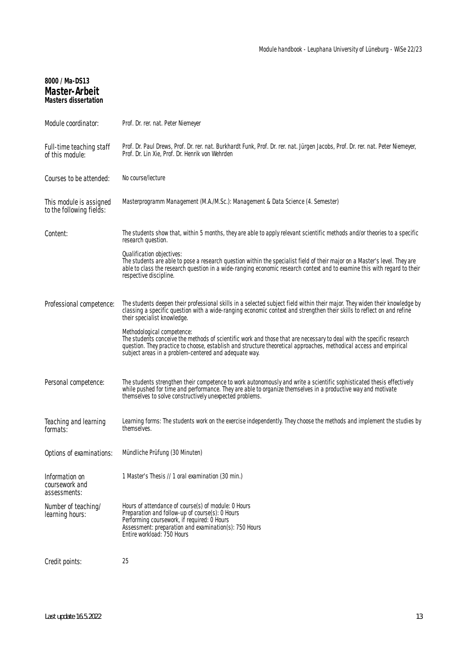## **8000 / Ma-DS13 Master-Arbeit Masters dissertation**

| Module coordinator:                                 | Prof. Dr. rer. nat. Peter Niemeyer                                                                                                                                                                                                                                                                                                |
|-----------------------------------------------------|-----------------------------------------------------------------------------------------------------------------------------------------------------------------------------------------------------------------------------------------------------------------------------------------------------------------------------------|
| Full-time teaching staff<br>of this module:         | Prof. Dr. Paul Drews, Prof. Dr. rer. nat. Burkhardt Funk, Prof. Dr. rer. nat. Jürgen Jacobs, Prof. Dr. rer. nat. Peter Niemeyer,<br>Prof. Dr. Lin Xie, Prof. Dr. Henrik von Wehrden                                                                                                                                               |
| Courses to be attended:                             | No course/lecture                                                                                                                                                                                                                                                                                                                 |
| This module is assigned<br>to the following fields: | Masterprogramm Management (M.A./M.Sc.): Management & Data Science (4. Semester)                                                                                                                                                                                                                                                   |
| Content:                                            | The students show that, within 5 months, they are able to apply relevant scientific methods and/or theories to a specific<br>research question.                                                                                                                                                                                   |
|                                                     | Qualification objectives:<br>The students are able to pose a research question within the specialist field of their major on a Master's level. They are<br>able to class the research question in a wide-ranging economic research context and to examine this with regard to their<br>respective discipline.                     |
| Professional competence:                            | The students deepen their professional skills in a selected subject field within their major. They widen their knowledge by<br>classing a specific question with a wide-ranging economic context and strengthen their skills to reflect on and refine<br>their specialist knowledge.                                              |
|                                                     | Methodological competence:<br>The students conceive the methods of scientific work and those that are necessary to deal with the specific research<br>question. They practice to choose, establish and structure theoretical approaches, methodical access and empirical<br>subject areas in a problem-centered and adequate way. |
| Personal competence:                                | The students strengthen their competence to work autonomously and write a scientific sophisticated thesis effectively<br>while pushed for time and performance. They are able to organize themselves in a productive way and motivate<br>themselves to solve constructively unexpected problems.                                  |
| Teaching and learning<br>formats:                   | Learning forms: The students work on the exercise independently. They choose the methods and implement the studies by<br>themselves.                                                                                                                                                                                              |
| Options of examinations:                            | Mündliche Prüfung (30 Minuten)                                                                                                                                                                                                                                                                                                    |
| Information on<br>coursework and<br>assessments:    | 1 Master's Thesis // 1 oral examination (30 min.)                                                                                                                                                                                                                                                                                 |
| Number of teaching/<br>learning hours:              | Hours of attendance of course(s) of module: 0 Hours<br>Preparation and follow-up of course(s): 0 Hours<br>Performing coursework, if required: 0 Hours<br>Assessment: preparation and examination(s): 750 Hours<br>Entire workload: 750 Hours                                                                                      |
| Credit points:                                      | 25                                                                                                                                                                                                                                                                                                                                |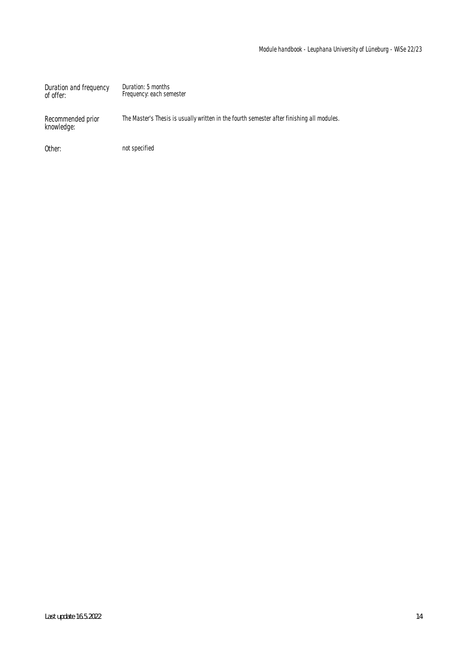| Duration and frequency<br>of offer: | Duration: 5 months<br>Frequency: each semester                                             |
|-------------------------------------|--------------------------------------------------------------------------------------------|
| Recommended prior<br>knowledge:     | The Master's Thesis is usually written in the fourth semester after finishing all modules. |
| Other:                              | not specified                                                                              |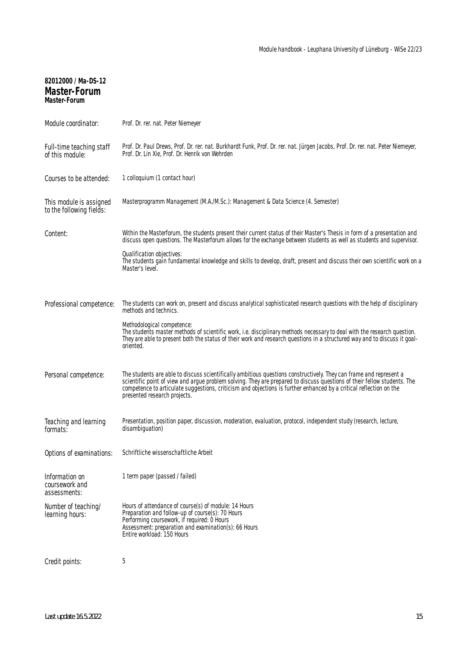| 82012000 / Ma-DS-12<br><b>Master-Forum</b><br><b>Master-Forum</b> |                                                                                                                                                                                                                                                                                                                                                                                                      |
|-------------------------------------------------------------------|------------------------------------------------------------------------------------------------------------------------------------------------------------------------------------------------------------------------------------------------------------------------------------------------------------------------------------------------------------------------------------------------------|
| Module coordinator:                                               | Prof. Dr. rer. nat. Peter Niemeyer                                                                                                                                                                                                                                                                                                                                                                   |
| Full-time teaching staff<br>of this module:                       | Prof. Dr. Paul Drews, Prof. Dr. rer. nat. Burkhardt Funk, Prof. Dr. rer. nat. Jürgen Jacobs, Prof. Dr. rer. nat. Peter Niemeyer,<br>Prof. Dr. Lin Xie, Prof. Dr. Henrik von Wehrden                                                                                                                                                                                                                  |
| Courses to be attended:                                           | 1 colloquium (1 contact hour)                                                                                                                                                                                                                                                                                                                                                                        |
| This module is assigned<br>to the following fields:               | Masterprogramm Management (M.A./M.Sc.): Management & Data Science (4. Semester)                                                                                                                                                                                                                                                                                                                      |
| Content:                                                          | Within the Masterforum, the students present their current status of their Master's Thesis in form of a presentation and<br>discuss open questions. The Masterforum allows for the exchange between students as well as students and supervisor.                                                                                                                                                     |
|                                                                   | Qualification objectives:<br>The students gain fundamental knowledge and skills to develop, draft, present and discuss their own scientific work on a<br>Master's level.                                                                                                                                                                                                                             |
| Professional competence:                                          | The students can work on, present and discuss analytical sophisticated research questions with the help of disciplinary<br>methods and technics.                                                                                                                                                                                                                                                     |
|                                                                   | Methodological competence:<br>The students master methods of scientific work, i.e. disciplinary methods necessary to deal with the research question.<br>They are able to present both the status of their work and research questions in a structured way and to discuss it goal-<br>oriented.                                                                                                      |
| Personal competence:                                              | The students are able to discuss scientifically ambitious questions constructively. They can frame and represent a<br>scientific point of view and argue problem solving. They are prepared to discuss questions of their fellow students. The<br>competence to articulate suggestions, criticism and objections is further enhanced by a critical reflection on the<br>presented research projects. |
| Teaching and learning<br>formats:                                 | Presentation, position paper, discussion, moderation, evaluation, protocol, independent study (research, lecture,<br>disambiguation)                                                                                                                                                                                                                                                                 |
| Options of examinations:                                          | Schriftliche wissenschaftliche Arbeit                                                                                                                                                                                                                                                                                                                                                                |
| Information on<br>coursework and<br>assessments:                  | 1 term paper (passed / failed)                                                                                                                                                                                                                                                                                                                                                                       |
| Number of teaching/<br>learning hours:                            | Hours of attendance of course(s) of module: 14 Hours<br>Preparation and follow-up of course(s): 70 Hours<br>Performing coursework, if required: 0 Hours<br>Assessment: preparation and examination(s): 66 Hours<br>Entire workload: 150 Hours                                                                                                                                                        |
| Credit points:                                                    | 5                                                                                                                                                                                                                                                                                                                                                                                                    |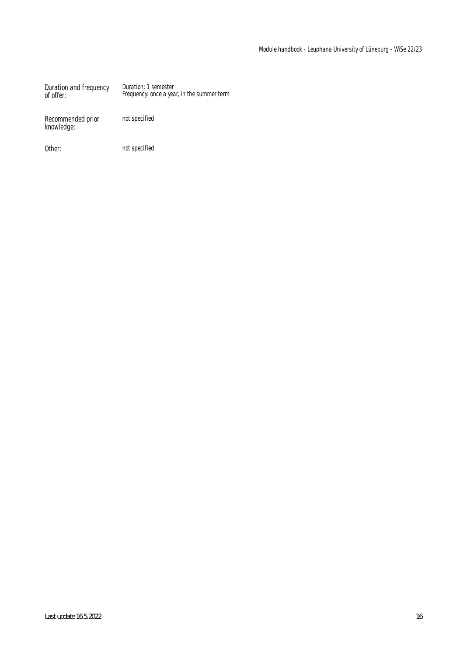Duration and frequency of offer: Duration: 1 semester Frequency: once a year, in the summer term

Recommended prior knowledge:

not specified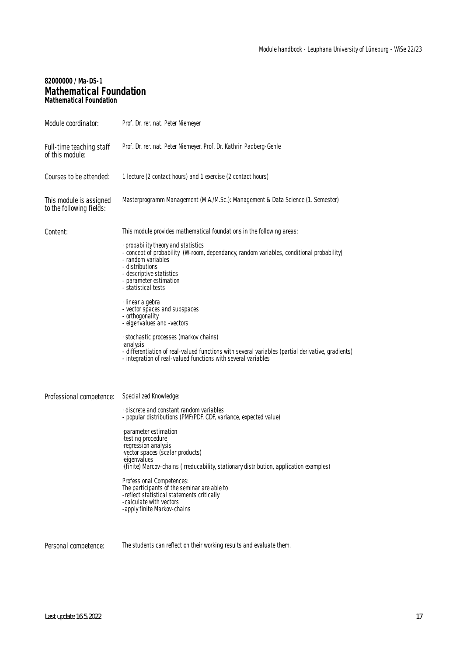### **82000000 / Ma-DS-1 Mathematical Foundation Mathematical Foundation**

| Module coordinator:                                 | Prof. Dr. rer. nat. Peter Niemeyer                                                                                                                                                                                                                    |
|-----------------------------------------------------|-------------------------------------------------------------------------------------------------------------------------------------------------------------------------------------------------------------------------------------------------------|
| Full-time teaching staff<br>of this module:         | Prof. Dr. rer. nat. Peter Niemeyer, Prof. Dr. Kathrin Padberg-Gehle                                                                                                                                                                                   |
| Courses to be attended:                             | 1 lecture (2 contact hours) and 1 exercise (2 contact hours)                                                                                                                                                                                          |
| This module is assigned<br>to the following fields: | Masterprogramm Management (M.A./M.Sc.): Management & Data Science (1. Semester)                                                                                                                                                                       |
| Content:                                            | This module provides mathematical foundations in the following areas:                                                                                                                                                                                 |
|                                                     | · probability theory and statistics<br>- concept of probability (W-room, dependancy, random variables, conditional probability)<br>- random variables<br>- distributions<br>- descriptive statistics<br>- parameter estimation<br>- statistical tests |
|                                                     | · linear algebra<br>- vector spaces and subspaces<br>- orthogonality<br>- eigenvalues and -vectors                                                                                                                                                    |
|                                                     | · stochastic processes (markov chains)<br>∙analysis<br>- differentiation of real-valued functions with several variables (partial derivative, gradients)<br>- integration of real-valued functions with several variables                             |
| Professional competence:                            | Specialized Knowledge:                                                                                                                                                                                                                                |
|                                                     | discrete and constant random variables<br>- popular distributions (PMF/PDF, CDF, variance, expected value)                                                                                                                                            |
|                                                     | parameter estimation<br>·testing procedure<br>·regression analysis<br>vector spaces (scalar products)<br>eigenvalues<br>-(finite) Marcov-chains (irreducability, stationary distribution, application examples)                                       |
|                                                     | Professional Competences:<br>The participants of the seminar are able to<br>-reflect statistical statements critically<br>-calculate with vectors<br>-apply finite Markov-chains                                                                      |
| Personal competence:                                | The students can reflect on their working results and evaluate them.                                                                                                                                                                                  |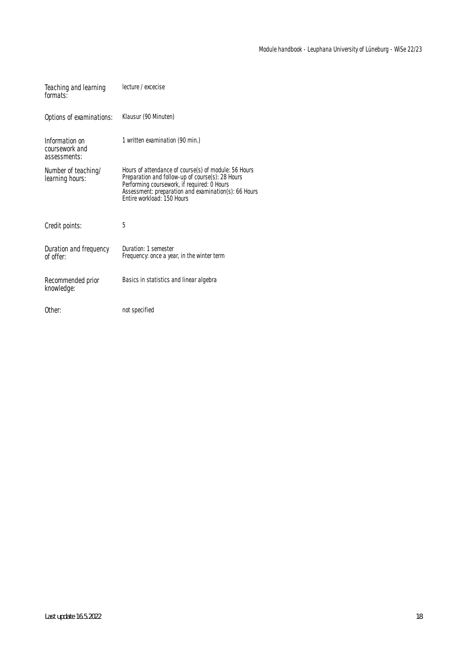| Teaching and learning<br>formats:                | lecture / excecise                                                                                                                                                                                                                            |
|--------------------------------------------------|-----------------------------------------------------------------------------------------------------------------------------------------------------------------------------------------------------------------------------------------------|
| Options of examinations:                         | Klausur (90 Minuten)                                                                                                                                                                                                                          |
| Information on<br>coursework and<br>assessments: | 1 written examination (90 min.)                                                                                                                                                                                                               |
| Number of teaching/<br>learning hours:           | Hours of attendance of course(s) of module: 56 Hours<br>Preparation and follow-up of course(s): 28 Hours<br>Performing coursework, if required: 0 Hours<br>Assessment: preparation and examination(s): 66 Hours<br>Entire workload: 150 Hours |
| Credit points:                                   | 5                                                                                                                                                                                                                                             |
| Duration and frequency<br>of offer:              | Duration: 1 semester<br>Frequency: once a year, in the winter term                                                                                                                                                                            |
| Recommended prior<br>knowledge:                  | Basics in statistics and linear algebra                                                                                                                                                                                                       |
| Other:                                           | not specified                                                                                                                                                                                                                                 |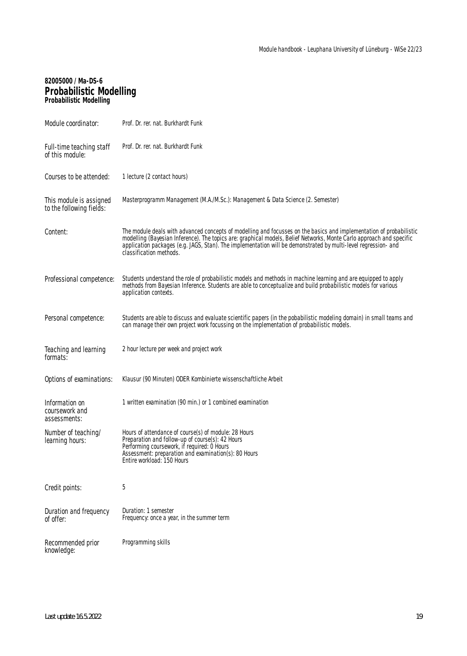### **82005000 / Ma-DS-6 Probabilistic Modelling Probabilistic Modelling**

| Module coordinator:                                 | Prof. Dr. rer. nat. Burkhardt Funk                                                                                                                                                                                                                                                                                                                                                       |
|-----------------------------------------------------|------------------------------------------------------------------------------------------------------------------------------------------------------------------------------------------------------------------------------------------------------------------------------------------------------------------------------------------------------------------------------------------|
| Full-time teaching staff<br>of this module:         | Prof. Dr. rer. nat. Burkhardt Funk                                                                                                                                                                                                                                                                                                                                                       |
| Courses to be attended:                             | 1 lecture (2 contact hours)                                                                                                                                                                                                                                                                                                                                                              |
| This module is assigned<br>to the following fields: | Masterprogramm Management (M.A./M.Sc.): Management & Data Science (2. Semester)                                                                                                                                                                                                                                                                                                          |
| Content:                                            | The module deals with advanced concepts of modelling and focusses on the basics and implementation of probabilistic<br>modelling (Bayesian Inference). The topics are: graphical models, Belief Networks, Monte Carlo approach and specific<br>application packages (e.g. JAGS, Stan). The implementation will be demonstrated by multi-level regression- and<br>classification methods. |
| Professional competence:                            | Students understand the role of probabilistic models and methods in machine learning and are equipped to apply<br>methods from Bayesian Inference. Students are able to conceptualize and build probabilistic models for various<br>application contexts.                                                                                                                                |
| Personal competence:                                | Students are able to discuss and evaluate scientific papers (in the pobabilistic modeling domain) in small teams and<br>can manage their own project work focussing on the implementation of probabilistic models.                                                                                                                                                                       |
| Teaching and learning<br>formats:                   | 2 hour lecture per week and project work                                                                                                                                                                                                                                                                                                                                                 |
| Options of examinations:                            | Klausur (90 Minuten) ODER Kombinierte wissenschaftliche Arbeit                                                                                                                                                                                                                                                                                                                           |
| Information on<br>coursework and<br>assessments:    | 1 written examination (90 min.) or 1 combined examination                                                                                                                                                                                                                                                                                                                                |
| Number of teaching/<br>learning hours:              | Hours of attendance of course(s) of module: 28 Hours<br>Preparation and follow-up of course(s): 42 Hours<br>Performing coursework, if required: 0 Hours<br>Assessment: preparation and examination(s): 80 Hours<br>Entire workload: 150 Hours                                                                                                                                            |
| Credit points:                                      | 5                                                                                                                                                                                                                                                                                                                                                                                        |
| Duration and frequency<br>of offer:                 | Duration: 1 semester<br>Frequency: once a year, in the summer term                                                                                                                                                                                                                                                                                                                       |
| Recommended prior<br>knowledge:                     | Programming skills                                                                                                                                                                                                                                                                                                                                                                       |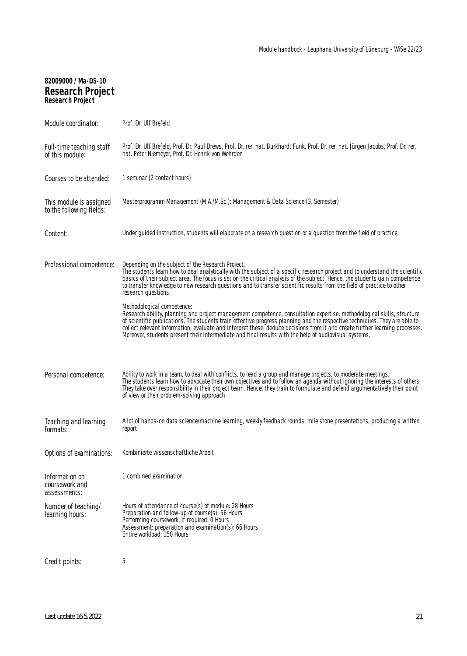| 82009000 / Ma-DS-10<br><b>Research Project</b><br><b>Research Project</b> |                                                                                                                                                                                                                                                                                                                                                                                                                                                                                                                            |
|---------------------------------------------------------------------------|----------------------------------------------------------------------------------------------------------------------------------------------------------------------------------------------------------------------------------------------------------------------------------------------------------------------------------------------------------------------------------------------------------------------------------------------------------------------------------------------------------------------------|
| Module coordinator:                                                       | Prof. Dr. Ulf Brefeld                                                                                                                                                                                                                                                                                                                                                                                                                                                                                                      |
| Full-time teaching staff<br>of this module:                               | Prof. Dr. Ulf Brefeld, Prof. Dr. Paul Drews, Prof. Dr. rer. nat. Burkhardt Funk, Prof. Dr. rer. nat. Jürgen Jacobs, Prof. Dr. rer.<br>nat. Peter Niemeyer, Prof. Dr. Henrik von Wehrden                                                                                                                                                                                                                                                                                                                                    |
| Courses to be attended:                                                   | 1 seminar (2 contact hours)                                                                                                                                                                                                                                                                                                                                                                                                                                                                                                |
| This module is assigned<br>to the following fields:                       | Masterprogramm Management (M.A./M.Sc.): Management & Data Science (3. Semester)                                                                                                                                                                                                                                                                                                                                                                                                                                            |
| Content:                                                                  | Under guided instruction, students will elaborate on a research question or a question from the field of practice.                                                                                                                                                                                                                                                                                                                                                                                                         |
| Professional competence:                                                  | Depending on the subject of the Research Project.<br>The students learn how to deal analytically with the subject of a specific research project and to understand the scientific<br>basics of their subject area. The focus is set on the critical analysis of the subject. Hence, the students gain competence<br>to transfer knowledge to new research questions and to transfer scientific results from the field of practice to other<br>research questions.                                                          |
|                                                                           | Methodological competence:<br>Research ability, planning and project management competence, consultation expertise, methodological skills, structure<br>of scientific publications. The students train effective progress planning and the respective techniques. They are able to<br>collect relevant information, evaluate and interpret these, deduce decisions from it and create further learning processes.<br>Moreover, students present their intermediate and final results with the help of audiovisual systems. |
| Personal competence:                                                      | Ability to work in a team, to deal with conflicts, to lead a group and manage projects, to moderate meetings.<br>The students learn how to advocate their own objectives and to follow an agenda without ignoring the interests of others.<br>They take over responsibility in their project team. Hence, they train to formulate and defend argumentatively their point<br>of view or their problem-solving approach.                                                                                                     |
| Teaching and learning<br>rormats:                                         | A lot of hands-on data science/machine learning, weekly feedback rounds, mile stone presentations, producing a written<br>report                                                                                                                                                                                                                                                                                                                                                                                           |
| Options of examinations:                                                  | Kombinierte wissenschaftliche Arbeit                                                                                                                                                                                                                                                                                                                                                                                                                                                                                       |
| Information on<br>coursework and<br>assessments:                          | 1 combined examination                                                                                                                                                                                                                                                                                                                                                                                                                                                                                                     |
| Number of teaching/<br>learning hours:                                    | Hours of attendance of course(s) of module: 28 Hours<br>Preparation and follow-up of course(s): 56 Hours<br>Performing coursework, if required: 0 Hours<br>Assessment: preparation and examination(s): 66 Hours<br>Entire workload: 150 Hours                                                                                                                                                                                                                                                                              |
| Credit points:                                                            | 5                                                                                                                                                                                                                                                                                                                                                                                                                                                                                                                          |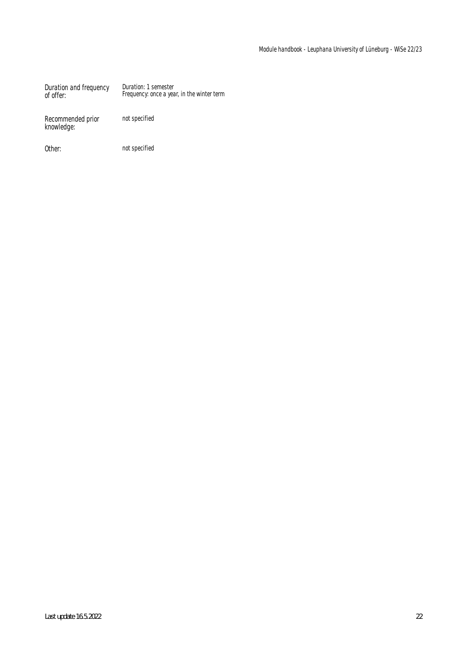Duration and frequency of offer: Duration: 1 semester Frequency: once a year, in the winter term

Recommended prior knowledge:

not specified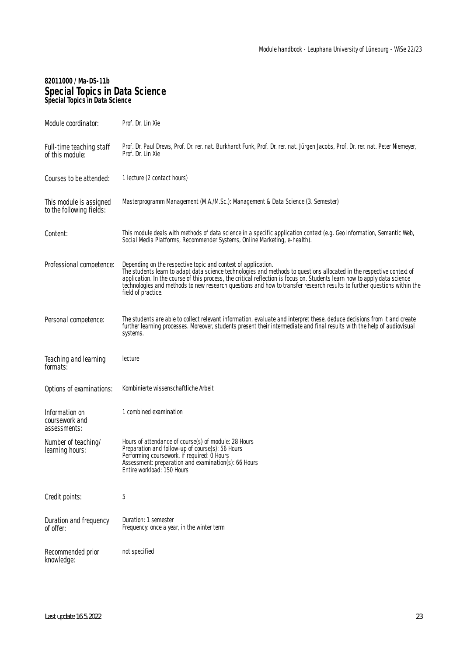### **82011000 / Ma-DS-11b Special Topics in Data Science Special Topics in Data Science**

| Module coordinator:                                 | Prof. Dr. Lin Xie                                                                                                                                                                                                                                                                                                                                                                                                                                                    |
|-----------------------------------------------------|----------------------------------------------------------------------------------------------------------------------------------------------------------------------------------------------------------------------------------------------------------------------------------------------------------------------------------------------------------------------------------------------------------------------------------------------------------------------|
| Full-time teaching staff<br>of this module:         | Prof. Dr. Paul Drews, Prof. Dr. rer. nat. Burkhardt Funk, Prof. Dr. rer. nat. Jürgen Jacobs, Prof. Dr. rer. nat. Peter Niemeyer,<br>Prof. Dr. Lin Xie                                                                                                                                                                                                                                                                                                                |
| Courses to be attended:                             | 1 lecture (2 contact hours)                                                                                                                                                                                                                                                                                                                                                                                                                                          |
| This module is assigned<br>to the following fields: | Masterprogramm Management (M.A./M.Sc.): Management & Data Science (3. Semester)                                                                                                                                                                                                                                                                                                                                                                                      |
| Content:                                            | This module deals with methods of data science in a specific application context (e.g. Geo Information, Semantic Web,<br>Social Media Platforms, Recommender Systems, Online Marketing, e-health).                                                                                                                                                                                                                                                                   |
| Professional competence:                            | Depending on the respective topic and context of application.<br>The students learn to adapt data science technologies and methods to questions allocated in the respective context of<br>application. In the course of this process, the critical reflection is focus on. Students learn how to apply data science<br>technologies and methods to new research questions and how to transfer research results to further questions within the<br>field of practice. |
| Personal competence:                                | The students are able to collect relevant information, evaluate and interpret these, deduce decisions from it and create<br>further learning processes. Moreover, students present their intermediate and final results with the help of audiovisual<br>systems.                                                                                                                                                                                                     |
| Teaching and learning<br>formats:                   | lecture                                                                                                                                                                                                                                                                                                                                                                                                                                                              |
| Options of examinations:                            | Kombinierte wissenschaftliche Arbeit                                                                                                                                                                                                                                                                                                                                                                                                                                 |
| Information on<br>coursework and<br>assessments:    | 1 combined examination                                                                                                                                                                                                                                                                                                                                                                                                                                               |
| Number of teaching/<br>learning hours:              | Hours of attendance of course(s) of module: 28 Hours<br>Preparation and follow-up of course(s): 56 Hours<br>Performing coursework, if required: 0 Hours<br>Assessment: preparation and examination(s): 66 Hours<br>Entire workload: 150 Hours                                                                                                                                                                                                                        |
| Credit points:                                      | 5                                                                                                                                                                                                                                                                                                                                                                                                                                                                    |
| Duration and frequency<br>of offer:                 | Duration: 1 semester<br>Frequency: once a year, in the winter term                                                                                                                                                                                                                                                                                                                                                                                                   |
| Recommended prior<br>knowledge:                     | not specified                                                                                                                                                                                                                                                                                                                                                                                                                                                        |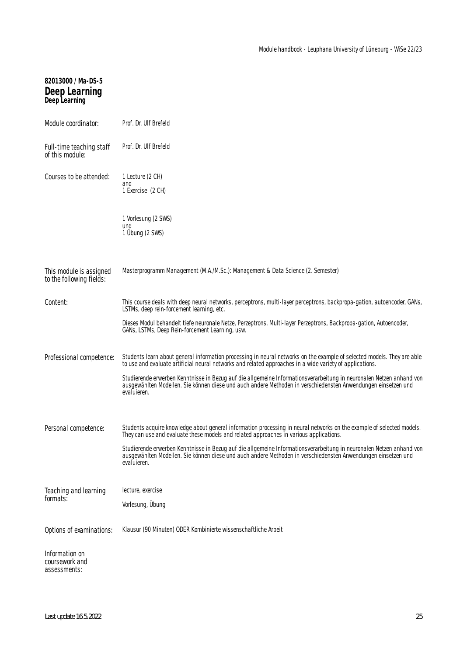# **82013000 / Ma-DS-5 Deep Learning Deep Learning**

| Module coordinator:                                 | Prof. Dr. Ulf Brefeld                                                                                                                                                                                                                                |
|-----------------------------------------------------|------------------------------------------------------------------------------------------------------------------------------------------------------------------------------------------------------------------------------------------------------|
| Full-time teaching staff<br>of this module:         | Prof. Dr. Ulf Brefeld                                                                                                                                                                                                                                |
| Courses to be attended:                             | 1 Lecture (2 CH)<br>and<br>1 Exercise (2 CH)                                                                                                                                                                                                         |
|                                                     | 1 Vorlesung (2 SWS)<br>und<br>1 Übung (2 SWS)                                                                                                                                                                                                        |
| This module is assigned<br>to the following fields: | Masterprogramm Management (M.A./M.Sc.): Management & Data Science (2. Semester)                                                                                                                                                                      |
| Content:                                            | This course deals with deep neural networks, perceptrons, multi-layer perceptrons, backpropa-gation, autoencoder, GANs,<br>LSTMs, deep rein-forcement learning, etc.                                                                                 |
|                                                     | Dieses Modul behandelt tiefe neuronale Netze, Perzeptrons, Multi-layer Perzeptrons, Backpropa-gation, Autoencoder,<br>GANs, LSTMs, Deep Rein-forcement Learning, usw.                                                                                |
| Professional competence:                            | Students learn about general information processing in neural networks on the example of selected models. They are able<br>to use and evaluate artificial neural networks and related approaches in a wide variety of applications.                  |
|                                                     | Studierende erwerben Kenntnisse in Bezug auf die allgemeine Informationsverarbeitung in neuronalen Netzen anhand von<br>ausgewählten Modellen. Sie können diese und auch andere Methoden in verschiedensten Anwendungen einsetzen und<br>evaluieren. |
| Personal competence:                                | Students acquire knowledge about general information processing in neural networks on the example of selected models.<br>They can use and evaluate these models and related approaches in various applications.                                      |
|                                                     | Studierende erwerben Kenntnisse in Bezug auf die allgemeine Informationsverarbeitung in neuronalen Netzen anhand von<br>ausgewählten Modellen. Sie können diese und auch andere Methoden in verschiedensten Anwendungen einsetzen und<br>evaluieren. |
| Teaching and learning                               | lecture, exercise                                                                                                                                                                                                                                    |
| formats:                                            | Vorlesung, Übung                                                                                                                                                                                                                                     |
| Options of examinations:                            | Klausur (90 Minuten) ODER Kombinierte wissenschaftliche Arbeit                                                                                                                                                                                       |
| Information on<br>coursework and<br>assessments:    |                                                                                                                                                                                                                                                      |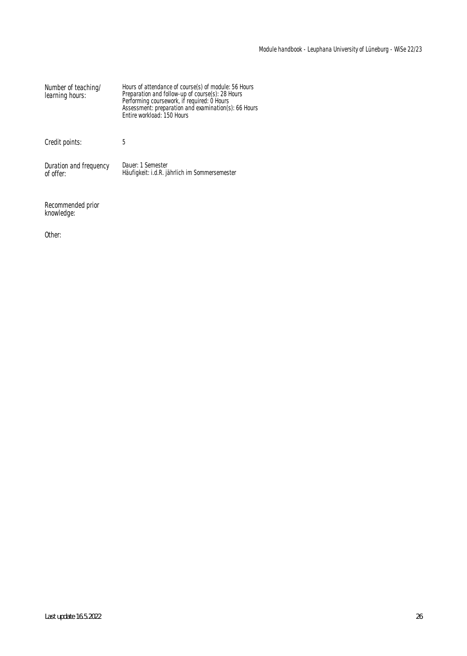| Number of teaching/<br>learning hours: | Hours of attendance of course(s) of module: 56 Hours<br>Preparation and follow-up of course(s): 28 Hours<br>Performing coursework, if required: 0 Hours<br>Assessment: preparation and examination(s): 66 Hours<br>Entire workload: 150 Hours |
|----------------------------------------|-----------------------------------------------------------------------------------------------------------------------------------------------------------------------------------------------------------------------------------------------|
| Credit points:                         | 5                                                                                                                                                                                                                                             |
| Duration and frequency<br>of offer:    | Dauer: 1 Semester<br>Häufigkeit: i.d.R. jährlich im Sommersemester                                                                                                                                                                            |

Recommended prior knowledge:

Other: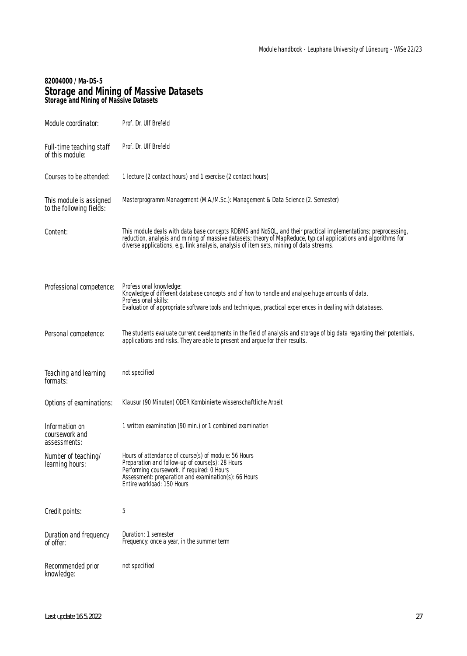#### **82004000 / Ma-DS-5 Storage and Mining of Massive Datasets Storage and Mining of Massive Datasets**

| Module coordinator:                                 | Prof. Dr. Ulf Brefeld                                                                                                                                                                                                                                                                                                          |
|-----------------------------------------------------|--------------------------------------------------------------------------------------------------------------------------------------------------------------------------------------------------------------------------------------------------------------------------------------------------------------------------------|
| Full-time teaching staff<br>of this module:         | Prof. Dr. Ulf Brefeld                                                                                                                                                                                                                                                                                                          |
| Courses to be attended:                             | 1 lecture (2 contact hours) and 1 exercise (2 contact hours)                                                                                                                                                                                                                                                                   |
| This module is assigned<br>to the following fields: | Masterprogramm Management (M.A./M.Sc.): Management & Data Science (2. Semester)                                                                                                                                                                                                                                                |
| Content:                                            | This module deals with data base concepts RDBMS and NoSQL, and their practical implementations; preprocessing,<br>reduction, analysis and mining of massive datasets; theory of MapReduce, typical applications and algorithms for<br>diverse applications, e.g. link analysis, analysis of item sets, mining of data streams. |
| Professional competence:                            | Professional knowledge:<br>Knowledge of different database concepts and of how to handle and analyse huge amounts of data.<br>Professional skills:<br>Evaluation of appropriate software tools and techniques, practical experiences in dealing with databases.                                                                |
| Personal competence:                                | The students evaluate current developments in the field of analysis and storage of big data regarding their potentials,<br>applications and risks. They are able to present and argue for their results.                                                                                                                       |
| Teaching and learning<br>formats:                   | not specified                                                                                                                                                                                                                                                                                                                  |
| Options of examinations:                            | Klausur (90 Minuten) ODER Kombinierte wissenschaftliche Arbeit                                                                                                                                                                                                                                                                 |
| Information on<br>coursework and<br>assessments:    | 1 written examination (90 min.) or 1 combined examination                                                                                                                                                                                                                                                                      |
| Number of teaching/<br>learning hours:              | Hours of attendance of course(s) of module: 56 Hours<br>Preparation and follow-up of course(s): 28 Hours                                                                                                                                                                                                                       |
|                                                     | Performing coursework, if required: 0 Hours<br>Assessment: preparation and examination(s): 66 Hours<br>Entire workload: 150 Hours                                                                                                                                                                                              |
| Credit points:                                      | 5                                                                                                                                                                                                                                                                                                                              |
| Duration and frequency<br>of offer:                 | Duration: 1 semester<br>Frequency: once a year, in the summer term                                                                                                                                                                                                                                                             |